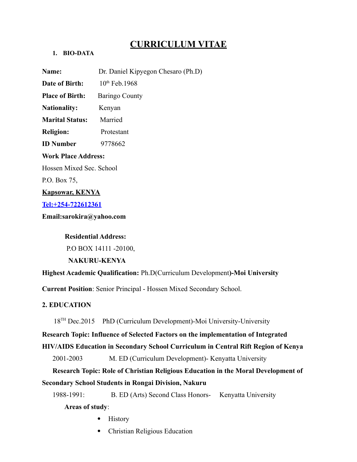# **CURRICULUM VITAE**

## **1. BIO-DATA**

**Name:** Dr. Daniel Kipyegon Chesaro (Ph.D) **Date of Birth:** 10<sup>th</sup> Feb. 1968 **Place of Birth:** Baringo County **Nationality:** Kenyan **Marital Status:** Married **Religion:** Protestant **ID Number** 9778662 **Work Place Address:**  Hossen Mixed Sec. School P.O. Box 75, **Kapsowar, KENYA [Tel:+254-722612361](tel:+254-722612361)**

**Email:sarokira@yahoo.com** 

## **Residential Address:**

P.O BOX 14111 -20100,

 **NAKURU-KENYA**

**Highest Academic Qualification:** Ph.D(Curriculum Development**)-Moi University**

**Current Position**: Senior Principal - Hossen Mixed Secondary School.

## **2. EDUCATION**

18TH Dec.2015PhD (Curriculum Development)-Moi University-University

**Research Topic: Influence of Selected Factors on the implementation of Integrated HIV/AIDS Education in Secondary School Curriculum in Central Rift Region of Kenya** 

2001-2003 M. ED (Curriculum Development)- Kenyatta University

 **Research Topic: Role of Christian Religious Education in the Moral Development of Secondary School Students in Rongai Division, Nakuru**

 1988-1991: B. ED (Arts) Second Class Honors- Kenyatta University  **Areas of study**:

- History
- Christian Religious Education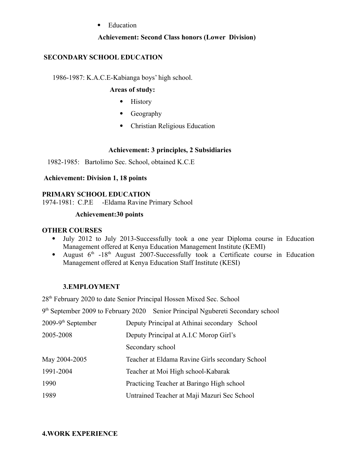## • Education

#### **Achievement: Second Class honors (Lower Division)**

### **SECONDARY SCHOOL EDUCATION**

1986-1987: K.A.C.E-Kabianga boys' high school.

#### **Areas of study:**

- History
- Geography
- Christian Religious Education

#### **Achievement: 3 principles, 2 Subsidiaries**

1982-1985: Bartolimo Sec. School, obtained K.C.E

#### **Achievement: Division 1, 18 points**

#### **PRIMARY SCHOOL EDUCATION**

1974-1981: C.P.E -Eldama Ravine Primary School

#### **Achievement:30 points**

#### **OTHER COURSES**

- July 2012 to July 2013-Successfully took a one year Diploma course in Education Management offered at Kenya Education Management Institute (KEMI)
- August  $6<sup>th</sup>$  -18<sup>th</sup> August 2007-Successfully took a Certificate course in Education Management offered at Kenya Education Staff Institute (KESI)

#### **3.EMPLOYMENT**

28th February 2020 to date Senior Principal Hossen Mixed Sec. School

| 9 <sup>th</sup> September 2009 to February 2020 | Senior Principal Ngubereti Secondary school     |
|-------------------------------------------------|-------------------------------------------------|
| $2009-9th$ September                            | Deputy Principal at Athinai secondary School    |
| 2005-2008                                       | Deputy Principal at A.I.C Morop Girl's          |
|                                                 | Secondary school                                |
| May 2004-2005                                   | Teacher at Eldama Ravine Girls secondary School |
| 1991-2004                                       | Teacher at Moi High school-Kabarak              |
| 1990                                            | Practicing Teacher at Baringo High school       |
| 1989                                            | Untrained Teacher at Maji Mazuri Sec School     |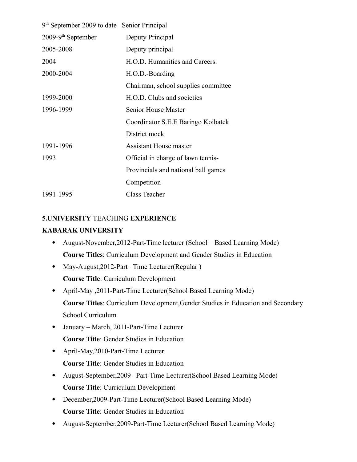| 9 <sup>th</sup> September 2009 to date Senior Principal |                                     |
|---------------------------------------------------------|-------------------------------------|
| $2009-9th$ September                                    | Deputy Principal                    |
| 2005-2008                                               | Deputy principal                    |
| 2004                                                    | H.O.D. Humanities and Careers.      |
| 2000-2004                                               | H.O.D.-Boarding                     |
|                                                         | Chairman, school supplies committee |
| 1999-2000                                               | H.O.D. Clubs and societies          |
| 1996-1999                                               | <b>Senior House Master</b>          |
|                                                         | Coordinator S.E.E Baringo Koibatek  |
|                                                         | District mock                       |
| 1991-1996                                               | <b>Assistant House master</b>       |
| 1993                                                    | Official in charge of lawn tennis-  |
|                                                         | Provincials and national ball games |
|                                                         | Competition                         |
| 1991-1995                                               | Class Teacher                       |

## **5.UNIVERSITY** TEACHING **EXPERIENCE**

### **KABARAK UNIVERSITY**

- August-November,2012-Part-Time lecturer (School Based Learning Mode) **Course Titles**: Curriculum Development and Gender Studies in Education
- May-August, 2012-Part Time Lecturer (Regular) **Course Title**: Curriculum Development
- April-May ,2011-Part-Time Lecturer(School Based Learning Mode) **Course Titles**: Curriculum Development,Gender Studies in Education and Secondary School Curriculum
- January March, 2011-Part-Time Lecturer **Course Title**: Gender Studies in Education
- April-May, 2010-Part-Time Lecturer **Course Title**: Gender Studies in Education
- August-September,2009 –Part-Time Lecturer(School Based Learning Mode) **Course Title**: Curriculum Development
- December,2009-Part-Time Lecturer(School Based Learning Mode) **Course Title**: Gender Studies in Education
- August-September,2009-Part-Time Lecturer(School Based Learning Mode)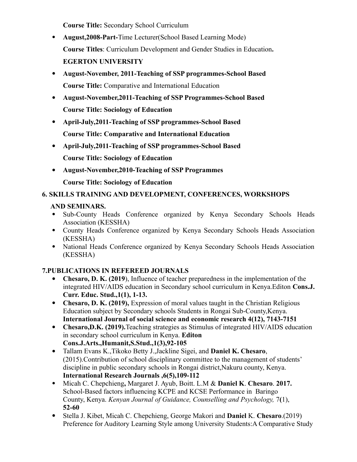**Course Title:** Secondary School Curriculum

- **August,2008-Part-**Time Lecturer(School Based Learning Mode) **Course Titles**: Curriculum Development and Gender Studies in Education**. EGERTON UNIVERSITY**
- **August-November, 2011-Teaching of SSP programmes-School Based Course Title:** Comparative and International Education
- **August-November,2011-Teaching of SSP Programmes-School Based Course Title: Sociology of Education**
- **April-July,2011-Teaching of SSP programmes-School Based Course Title: Comparative and International Education**
- **April-July,2011-Teaching of SSP programmes-School Based Course Title: Sociology of Education**
- **August-November,2010-Teaching of SSP Programmes**

**Course Title: Sociology of Education**

## **6. SKILLS TRAINING AND DEVELOPMENT, CONFERENCES, WORKSHOPS**

## **AND SEMINARS.**

- Sub-County Heads Conference organized by Kenya Secondary Schools Heads Association (KESSHA)
- County Heads Conference organized by Kenya Secondary Schools Heads Association (KESSHA)
- National Heads Conference organized by Kenya Secondary Schools Heads Association (KESSHA)

## **7.PUBLICATIONS IN REFEREED JOURNALS**

- **Chesaro, D. K. (2019**), Influence of teacher preparedness in the implementation of the integrated HIV/AIDS education in Secondary school curriculum in Kenya.Editon **Cons.J. Curr. Educ. Stud.,1(1), 1-13.**
- Chesaro, D. K. (2019), Expression of moral values taught in the Christian Religious Education subject by Secondary schools Students in Rongai Sub-County,Kenya. **International Journal of social science and economic research 4(12), 7143-7151**
- **Chesaro,D.K. (2019).**Teaching strategies as Stimulus of integrated HIV/AIDS education in secondary school curriculum in Kenya. **Editon Cons.J.Arts.,Humanit,S.Stud.,1(3),92-105**
- Tallam Evans K.,Tikoko Betty J.,Jackline Sigei, and **Daniel K. Chesaro**, (2015).Contribution of school disciplinary committee to the management of students' discipline in public secondary schools in Rongai district,Nakuru county, Kenya. **International Research Journals ,6(5),109-112**
- Micah C. Chepchieng**,** Margaret J. Ayub, Boitt. L.M & **Daniel K**. **Chesaro**. **2017.** School-Based factors influencing KCPE and KCSE Performance in Baringo County, Kenya. *Kenyan Journal of Guidance, Counselling and Psychology,* 7**(**1), **52-60**
- Stella J. Kibet, Micah C. Chepchieng, George Makori and **Daniel** K. **Chesaro**.(2019) Preference for Auditory Learning Style among University Students:A Comparative Study